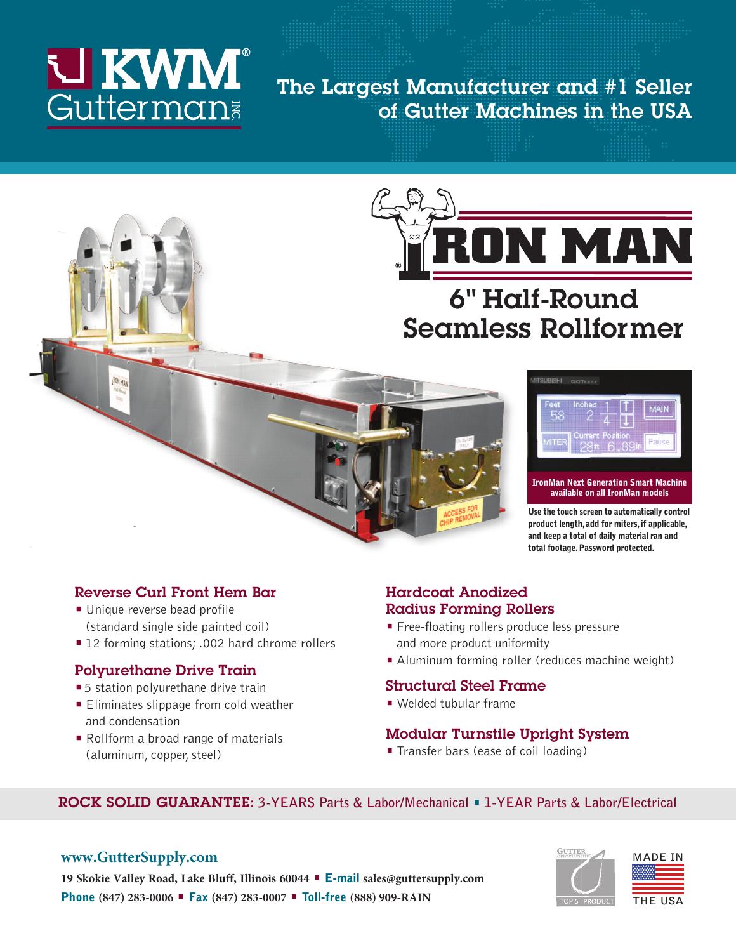# **U KWM**<sup>®</sup><br>Gutterman

## **The Largest Manufacturer and #1 Seller of Gutter Machines in the USA**



## **6" Half-Round Seamless Rollformer**



## **available on all IronMan models**

**Use the touch screen to automatically control product length, add for miters, if applicable, and keep a total of daily material ran and total footage. Password protected.** 

#### **Reverse Curl Front Hem Bar**

- **•** Unique reverse bead profile (standard single side painted coil)
- **•** 12 forming stations; .002 hard chrome rollers

#### **Polyurethane Drive Train**

- **•** 5 station polyurethane drive train
- **•** Eliminates slippage from cold weather and condensation
- **•** Rollform a broad range of materials (aluminum, copper, steel)

#### **Hardcoat Anodized Radius Forming Rollers**

- **•** Free-floating rollers produce less pressure and more product uniformity
- **•** Aluminum forming roller (reduces machine weight)

#### **Structural Steel Frame**

**•** Welded tubular frame

#### **Modular Turnstile Upright System**

**•** Transfer bars (ease of coil loading)

#### **ROCK SOLID GUARANTEE: 3-YEARS Parts & Labor/Mechanical • 1-YEAR Parts & Labor/Electrical**

#### **www.GutterSupply.com**





**19 Skokie Valley Road, Lake Bluff, Illinois 60044 • E-mail sales@guttersupply.com Phone (847) 283-0006 • Fax (847) 283-0007 • Toll-free (888) 909-RAIN**